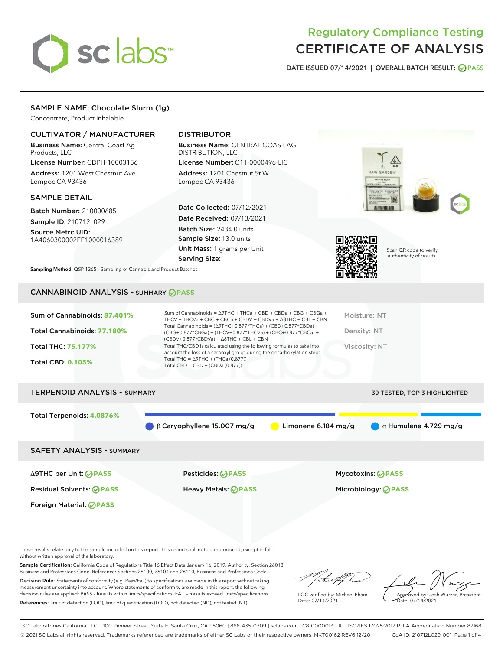

# Regulatory Compliance Testing CERTIFICATE OF ANALYSIS

DATE ISSUED 07/14/2021 | OVERALL BATCH RESULT: @ PASS

# SAMPLE NAME: Chocolate Slurm (1g)

Concentrate, Product Inhalable

# CULTIVATOR / MANUFACTURER

Business Name: Central Coast Ag Products, LLC

License Number: CDPH-10003156 Address: 1201 West Chestnut Ave. Lompoc CA 93436

## SAMPLE DETAIL

Batch Number: 210000685 Sample ID: 210712L029

Source Metrc UID:

1A4060300002EE1000016389

# DISTRIBUTOR

Business Name: CENTRAL COAST AG DISTRIBUTION, LLC

License Number: C11-0000496-LIC Address: 1201 Chestnut St W Lompoc CA 93436

Date Collected: 07/12/2021 Date Received: 07/13/2021 Batch Size: 2434.0 units Sample Size: 13.0 units Unit Mass: 1 grams per Unit Serving Size:





Scan QR code to verify authenticity of results.

Sampling Method: QSP 1265 - Sampling of Cannabis and Product Batches

# CANNABINOID ANALYSIS - SUMMARY **PASS**

## TERPENOID ANALYSIS - SUMMARY 39 TESTED, TOP 3 HIGHLIGHTED

Total Terpenoids: **4.0876%**

β Caryophyllene 15.007 mg/g **a** Limonene 6.184 mg/g **a** Humulene 4.729 mg/g

## SAFETY ANALYSIS - SUMMARY

Δ9THC per Unit: **PASS** Pesticides: **PASS** Mycotoxins: **PASS**

Foreign Material: **PASS**

Residual Solvents: **PASS** Heavy Metals: **PASS** Microbiology: **PASS**

These results relate only to the sample included on this report. This report shall not be reproduced, except in full, without written approval of the laboratory.

Sample Certification: California Code of Regulations Title 16 Effect Date January 16, 2019. Authority: Section 26013, Business and Professions Code. Reference: Sections 26100, 26104 and 26110, Business and Professions Code. Decision Rule: Statements of conformity (e.g. Pass/Fail) to specifications are made in this report without taking

measurement uncertainty into account. Where statements of conformity are made in this report, the following decision rules are applied: PASS – Results within limits/specifications, FAIL – Results exceed limits/specifications. References: limit of detection (LOD), limit of quantification (LOQ), not detected (ND), not tested (NT)

that fCh

LQC verified by: Michael Pham Date: 07/14/2021

Approved by: Josh Wurzer, President ate: 07/14/2021

SC Laboratories California LLC. | 100 Pioneer Street, Suite E, Santa Cruz, CA 95060 | 866-435-0709 | sclabs.com | C8-0000013-LIC | ISO/IES 17025:2017 PJLA Accreditation Number 87168 © 2021 SC Labs all rights reserved. Trademarks referenced are trademarks of either SC Labs or their respective owners. MKT00162 REV6 12/20 CoA ID: 210712L029-001 Page 1 of 4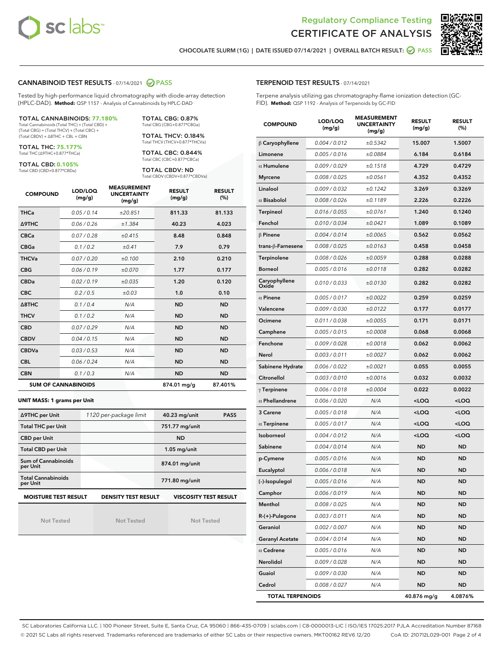



CHOCOLATE SLURM (1G) | DATE ISSUED 07/14/2021 | OVERALL BATCH RESULT: @ PASS

## CANNABINOID TEST RESULTS - 07/14/2021 2 PASS

Tested by high-performance liquid chromatography with diode-array detection (HPLC-DAD). **Method:** QSP 1157 - Analysis of Cannabinoids by HPLC-DAD

## TOTAL CANNABINOIDS: **77.180%**

Total Cannabinoids (Total THC) + (Total CBD) + (Total CBG) + (Total THCV) + (Total CBC) + (Total CBDV) + ∆8THC + CBL + CBN

TOTAL THC: **75.177%** Total THC (∆9THC+0.877\*THCa)

TOTAL CBD: **0.105%**

Total CBD (CBD+0.877\*CBDa)

TOTAL CBG: 0.87% Total CBG (CBG+0.877\*CBGa)

TOTAL THCV: 0.184% Total THCV (THCV+0.877\*THCVa)

TOTAL CBC: 0.844% Total CBC (CBC+0.877\*CBCa)

TOTAL CBDV: ND Total CBDV (CBDV+0.877\*CBDVa)

| <b>COMPOUND</b>            | LOD/LOQ<br>(mg/g) | <b>MEASUREMENT</b><br><b>UNCERTAINTY</b><br>(mg/g) | <b>RESULT</b><br>(mg/g) | <b>RESULT</b><br>(%) |
|----------------------------|-------------------|----------------------------------------------------|-------------------------|----------------------|
| <b>THCa</b>                | 0.05 / 0.14       | ±20.851                                            | 811.33                  | 81.133               |
| <b>A9THC</b>               | 0.06 / 0.26       | ±1.384                                             | 40.23                   | 4.023                |
| <b>CBCa</b>                | 0.07 / 0.28       | ±0.415                                             | 8.48                    | 0.848                |
| <b>CBGa</b>                | 0.1/0.2           | ±0.41                                              | 7.9                     | 0.79                 |
| <b>THCVa</b>               | 0.07/0.20         | ±0.100                                             | 2.10                    | 0.210                |
| <b>CBG</b>                 | 0.06/0.19         | ±0.070                                             | 1.77                    | 0.177                |
| <b>CBDa</b>                | 0.02 / 0.19       | ±0.035                                             | 1.20                    | 0.120                |
| <b>CBC</b>                 | 0.2 / 0.5         | ±0.03                                              | 1.0                     | 0.10                 |
| $\triangle$ 8THC           | 0.1/0.4           | N/A                                                | <b>ND</b>               | <b>ND</b>            |
| <b>THCV</b>                | 0.1/0.2           | N/A                                                | <b>ND</b>               | <b>ND</b>            |
| <b>CBD</b>                 | 0.07/0.29         | N/A                                                | <b>ND</b>               | <b>ND</b>            |
| <b>CBDV</b>                | 0.04 / 0.15       | N/A                                                | <b>ND</b>               | <b>ND</b>            |
| <b>CBDVa</b>               | 0.03/0.53         | N/A                                                | <b>ND</b>               | <b>ND</b>            |
| <b>CBL</b>                 | 0.06 / 0.24       | N/A                                                | <b>ND</b>               | <b>ND</b>            |
| <b>CBN</b>                 | 0.1/0.3           | N/A                                                | <b>ND</b>               | <b>ND</b>            |
| <b>SUM OF CANNABINOIDS</b> |                   |                                                    | 874.01 mg/g             | 87.401%              |

#### **UNIT MASS: 1 grams per Unit**

| ∆9THC per Unit                        | 1120 per-package limit     | 40.23 mg/unit<br><b>PASS</b> |
|---------------------------------------|----------------------------|------------------------------|
| <b>Total THC per Unit</b>             |                            | 751.77 mg/unit               |
| <b>CBD per Unit</b>                   |                            | <b>ND</b>                    |
| <b>Total CBD per Unit</b>             |                            | $1.05$ mg/unit               |
| Sum of Cannabinoids<br>per Unit       |                            | 874.01 mg/unit               |
| <b>Total Cannabinoids</b><br>per Unit |                            | 771.80 mg/unit               |
| <b>MOISTURE TEST RESULT</b>           | <b>DENSITY TEST RESULT</b> | <b>VISCOSITY TEST RESULT</b> |

Not Tested

**MOISTURE TEST RESULT**

Not Tested

Not Tested

### TERPENOID TEST RESULTS - 07/14/2021

Terpene analysis utilizing gas chromatography-flame ionization detection (GC-FID). **Method:** QSP 1192 - Analysis of Terpenoids by GC-FID

| <b>COMPOUND</b>         | LOD/LOQ<br>(mg/g) | <b>MEASUREMENT</b><br><b>UNCERTAINTY</b><br>(mg/g) | <b>RESULT</b><br>(mg/g)                         | <b>RESULT</b><br>(%) |
|-------------------------|-------------------|----------------------------------------------------|-------------------------------------------------|----------------------|
| $\beta$ Caryophyllene   | 0.004 / 0.012     | ±0.5342                                            | 15.007                                          | 1.5007               |
| Limonene                | 0.005 / 0.016     | ±0.0884                                            | 6.184                                           | 0.6184               |
| $\alpha$ Humulene       | 0.009/0.029       | ±0.1518                                            | 4.729                                           | 0.4729               |
| <b>Myrcene</b>          | 0.008 / 0.025     | ±0.0561                                            | 4.352                                           | 0.4352               |
| Linalool                | 0.009 / 0.032     | ±0.1242                                            | 3.269                                           | 0.3269               |
| $\alpha$ Bisabolol      | 0.008 / 0.026     | ±0.1189                                            | 2.226                                           | 0.2226               |
| Terpineol               | 0.016 / 0.055     | ±0.0761                                            | 1.240                                           | 0.1240               |
| Fenchol                 | 0.010 / 0.034     | ±0.0421                                            | 1.089                                           | 0.1089               |
| $\beta$ Pinene          | 0.004 / 0.014     | ±0.0065                                            | 0.562                                           | 0.0562               |
| trans-β-Farnesene       | 0.008 / 0.025     | ±0.0163                                            | 0.458                                           | 0.0458               |
| Terpinolene             | 0.008 / 0.026     | ±0.0059                                            | 0.288                                           | 0.0288               |
| <b>Borneol</b>          | 0.005 / 0.016     | ±0.0118                                            | 0.282                                           | 0.0282               |
| Caryophyllene<br>Oxide  | 0.010 / 0.033     | ±0.0130                                            | 0.282                                           | 0.0282               |
| $\alpha$ Pinene         | 0.005 / 0.017     | ±0.0022                                            | 0.259                                           | 0.0259               |
| Valencene               | 0.009 / 0.030     | ±0.0122                                            | 0.177                                           | 0.0177               |
| Ocimene                 | 0.011 / 0.038     | ±0.0055                                            | 0.171                                           | 0.0171               |
| Camphene                | 0.005 / 0.015     | ±0.0008                                            | 0.068                                           | 0.0068               |
| Fenchone                | 0.009 / 0.028     | ±0.0018                                            | 0.062                                           | 0.0062               |
| Nerol                   | 0.003 / 0.011     | ±0.0027                                            | 0.062                                           | 0.0062               |
| Sabinene Hydrate        | 0.006 / 0.022     | ±0.0021                                            | 0.055                                           | 0.0055               |
| Citronellol             | 0.003 / 0.010     | ±0.0016                                            | 0.032                                           | 0.0032               |
| $\gamma$ Terpinene      | 0.006 / 0.018     | ±0.0004                                            | 0.022                                           | 0.0022               |
| $\alpha$ Phellandrene   | 0.006 / 0.020     | N/A                                                | <loq< th=""><th><loq< th=""></loq<></th></loq<> | <loq< th=""></loq<>  |
| 3 Carene                | 0.005 / 0.018     | N/A                                                | <loq< th=""><th><loq< th=""></loq<></th></loq<> | <loq< th=""></loq<>  |
| $\alpha$ Terpinene      | 0.005 / 0.017     | N/A                                                | <loq< th=""><th><loq< th=""></loq<></th></loq<> | <loq< th=""></loq<>  |
| Isoborneol              | 0.004 / 0.012     | N/A                                                | <loq< th=""><th><loq< th=""></loq<></th></loq<> | <loq< th=""></loq<>  |
| Sabinene                | 0.004 / 0.014     | N/A                                                | ND                                              | <b>ND</b>            |
| p-Cymene                | 0.005 / 0.016     | N/A                                                | <b>ND</b>                                       | <b>ND</b>            |
| Eucalyptol              | 0.006 / 0.018     | N/A                                                | ND                                              | <b>ND</b>            |
| (-)-Isopulegol          | 0.005 / 0.016     | N/A                                                | <b>ND</b>                                       | <b>ND</b>            |
| Camphor                 | 0.006 / 0.019     | N/A                                                | ND                                              | ND                   |
| Menthol                 | 0.008 / 0.025     | N/A                                                | ND                                              | ND                   |
| $R-(+)$ -Pulegone       | 0.003 / 0.011     | N/A                                                | <b>ND</b>                                       | ND                   |
| Geraniol                | 0.002 / 0.007     | N/A                                                | <b>ND</b>                                       | <b>ND</b>            |
| <b>Geranyl Acetate</b>  | 0.004 / 0.014     | N/A                                                | ND                                              | ND                   |
| $\alpha$ Cedrene        | 0.005 / 0.016     | N/A                                                | ND                                              | ND                   |
| Nerolidol               | 0.009 / 0.028     | N/A                                                | <b>ND</b>                                       | <b>ND</b>            |
| Guaiol                  | 0.009 / 0.030     | N/A                                                | ND                                              | ND                   |
| Cedrol                  | 0.008 / 0.027     | N/A                                                | <b>ND</b>                                       | ND                   |
| <b>TOTAL TERPENOIDS</b> |                   |                                                    | 40.876 mg/g                                     | 4.0876%              |

SC Laboratories California LLC. | 100 Pioneer Street, Suite E, Santa Cruz, CA 95060 | 866-435-0709 | sclabs.com | C8-0000013-LIC | ISO/IES 17025:2017 PJLA Accreditation Number 87168 © 2021 SC Labs all rights reserved. Trademarks referenced are trademarks of either SC Labs or their respective owners. MKT00162 REV6 12/20 CoA ID: 210712L029-001 Page 2 of 4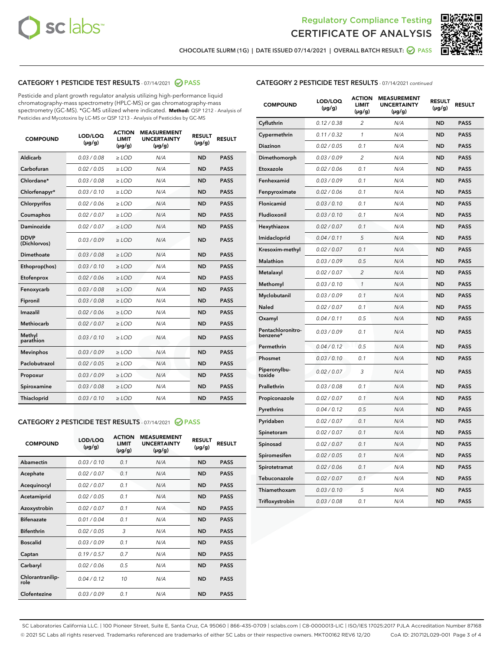



CHOCOLATE SLURM (1G) | DATE ISSUED 07/14/2021 | OVERALL BATCH RESULT: @ PASS

# CATEGORY 1 PESTICIDE TEST RESULTS - 07/14/2021 2 PASS

Pesticide and plant growth regulator analysis utilizing high-performance liquid chromatography-mass spectrometry (HPLC-MS) or gas chromatography-mass spectrometry (GC-MS). \*GC-MS utilized where indicated. **Method:** QSP 1212 - Analysis of Pesticides and Mycotoxins by LC-MS or QSP 1213 - Analysis of Pesticides by GC-MS

| <b>COMPOUND</b>             | LOD/LOQ<br>$(\mu g/g)$ | <b>ACTION</b><br><b>LIMIT</b><br>$(\mu g/g)$ | <b>MEASUREMENT</b><br><b>UNCERTAINTY</b><br>$(\mu g/g)$ | <b>RESULT</b><br>$(\mu g/g)$ | <b>RESULT</b> |
|-----------------------------|------------------------|----------------------------------------------|---------------------------------------------------------|------------------------------|---------------|
| Aldicarb                    | 0.03 / 0.08            | $\geq$ LOD                                   | N/A                                                     | <b>ND</b>                    | <b>PASS</b>   |
| Carbofuran                  | 0.02 / 0.05            | $>$ LOD                                      | N/A                                                     | <b>ND</b>                    | <b>PASS</b>   |
| Chlordane*                  | 0.03 / 0.08            | $\ge$ LOD                                    | N/A                                                     | <b>ND</b>                    | <b>PASS</b>   |
| Chlorfenapyr*               | 0.03/0.10              | $>$ LOD                                      | N/A                                                     | <b>ND</b>                    | <b>PASS</b>   |
| Chlorpyrifos                | 0.02 / 0.06            | ≥ LOD                                        | N/A                                                     | <b>ND</b>                    | <b>PASS</b>   |
| Coumaphos                   | 0.02 / 0.07            | $\ge$ LOD                                    | N/A                                                     | <b>ND</b>                    | <b>PASS</b>   |
| Daminozide                  | 0.02 / 0.07            | $\geq$ LOD                                   | N/A                                                     | <b>ND</b>                    | <b>PASS</b>   |
| <b>DDVP</b><br>(Dichlorvos) | 0.03/0.09              | $\geq$ LOD                                   | N/A                                                     | <b>ND</b>                    | <b>PASS</b>   |
| Dimethoate                  | 0.03 / 0.08            | $>$ LOD                                      | N/A                                                     | <b>ND</b>                    | <b>PASS</b>   |
| Ethoprop(hos)               | 0.03/0.10              | $\ge$ LOD                                    | N/A                                                     | <b>ND</b>                    | <b>PASS</b>   |
| Etofenprox                  | 0.02 / 0.06            | $>$ LOD                                      | N/A                                                     | <b>ND</b>                    | <b>PASS</b>   |
| Fenoxycarb                  | 0.03 / 0.08            | $\geq$ LOD                                   | N/A                                                     | <b>ND</b>                    | <b>PASS</b>   |
| Fipronil                    | 0.03/0.08              | $>$ LOD                                      | N/A                                                     | <b>ND</b>                    | <b>PASS</b>   |
| Imazalil                    | 0.02 / 0.06            | $\geq$ LOD                                   | N/A                                                     | <b>ND</b>                    | <b>PASS</b>   |
| <b>Methiocarb</b>           | 0.02 / 0.07            | $\ge$ LOD                                    | N/A                                                     | <b>ND</b>                    | <b>PASS</b>   |
| Methyl<br>parathion         | 0.03/0.10              | $\geq$ LOD                                   | N/A                                                     | <b>ND</b>                    | <b>PASS</b>   |
| <b>Mevinphos</b>            | 0.03/0.09              | $>$ LOD                                      | N/A                                                     | <b>ND</b>                    | <b>PASS</b>   |
| Paclobutrazol               | 0.02 / 0.05            | $\geq$ LOD                                   | N/A                                                     | <b>ND</b>                    | <b>PASS</b>   |
| Propoxur                    | 0.03/0.09              | $\ge$ LOD                                    | N/A                                                     | <b>ND</b>                    | <b>PASS</b>   |
| Spiroxamine                 | 0.03 / 0.08            | $\ge$ LOD                                    | N/A                                                     | <b>ND</b>                    | <b>PASS</b>   |
| Thiacloprid                 | 0.03/0.10              | $\geq$ LOD                                   | N/A                                                     | <b>ND</b>                    | <b>PASS</b>   |

## CATEGORY 2 PESTICIDE TEST RESULTS - 07/14/2021 @ PASS

| <b>COMPOUND</b>          | LOD/LOQ<br>$(\mu g/g)$ | <b>ACTION</b><br><b>LIMIT</b><br>$(\mu g/g)$ | <b>MEASUREMENT</b><br><b>UNCERTAINTY</b><br>$(\mu g/g)$ | <b>RESULT</b><br>$(\mu g/g)$ | <b>RESULT</b> |
|--------------------------|------------------------|----------------------------------------------|---------------------------------------------------------|------------------------------|---------------|
| Abamectin                | 0.03/0.10              | 0.1                                          | N/A                                                     | <b>ND</b>                    | <b>PASS</b>   |
| Acephate                 | 0.02/0.07              | 0.1                                          | N/A                                                     | <b>ND</b>                    | <b>PASS</b>   |
| Acequinocyl              | 0.02/0.07              | 0.1                                          | N/A                                                     | <b>ND</b>                    | <b>PASS</b>   |
| Acetamiprid              | 0.02/0.05              | 0.1                                          | N/A                                                     | <b>ND</b>                    | <b>PASS</b>   |
| Azoxystrobin             | 0.02/0.07              | 0.1                                          | N/A                                                     | <b>ND</b>                    | <b>PASS</b>   |
| <b>Bifenazate</b>        | 0.01/0.04              | 0.1                                          | N/A                                                     | <b>ND</b>                    | <b>PASS</b>   |
| <b>Bifenthrin</b>        | 0.02 / 0.05            | 3                                            | N/A                                                     | <b>ND</b>                    | <b>PASS</b>   |
| <b>Boscalid</b>          | 0.03/0.09              | 0.1                                          | N/A                                                     | <b>ND</b>                    | <b>PASS</b>   |
| Captan                   | 0.19/0.57              | 0.7                                          | N/A                                                     | <b>ND</b>                    | <b>PASS</b>   |
| Carbaryl                 | 0.02/0.06              | 0.5                                          | N/A                                                     | <b>ND</b>                    | <b>PASS</b>   |
| Chlorantranilip-<br>role | 0.04/0.12              | 10                                           | N/A                                                     | <b>ND</b>                    | <b>PASS</b>   |
| Clofentezine             | 0.03/0.09              | 0.1                                          | N/A                                                     | <b>ND</b>                    | <b>PASS</b>   |

| <b>COMPOUND</b>               | LOD/LOQ<br>(µg/g) | <b>ACTION</b><br><b>LIMIT</b><br>(µg/g) | <b>MEASUREMENT</b><br><b>UNCERTAINTY</b><br>$(\mu g/g)$ | <b>RESULT</b><br>(µg/g) | <b>RESULT</b> |
|-------------------------------|-------------------|-----------------------------------------|---------------------------------------------------------|-------------------------|---------------|
| Cyfluthrin                    | 0.12 / 0.38       | $\overline{c}$                          | N/A                                                     | <b>ND</b>               | <b>PASS</b>   |
| Cypermethrin                  | 0.11 / 0.32       | 1                                       | N/A                                                     | <b>ND</b>               | <b>PASS</b>   |
| <b>Diazinon</b>               | 0.02 / 0.05       | 0.1                                     | N/A                                                     | <b>ND</b>               | <b>PASS</b>   |
| Dimethomorph                  | 0.03 / 0.09       | 2                                       | N/A                                                     | <b>ND</b>               | <b>PASS</b>   |
| Etoxazole                     | 0.02 / 0.06       | 0.1                                     | N/A                                                     | <b>ND</b>               | <b>PASS</b>   |
| Fenhexamid                    | 0.03 / 0.09       | 0.1                                     | N/A                                                     | <b>ND</b>               | <b>PASS</b>   |
| Fenpyroximate                 | 0.02 / 0.06       | 0.1                                     | N/A                                                     | <b>ND</b>               | <b>PASS</b>   |
| Flonicamid                    | 0.03 / 0.10       | 0.1                                     | N/A                                                     | <b>ND</b>               | <b>PASS</b>   |
| Fludioxonil                   | 0.03 / 0.10       | 0.1                                     | N/A                                                     | <b>ND</b>               | <b>PASS</b>   |
| Hexythiazox                   | 0.02 / 0.07       | 0.1                                     | N/A                                                     | <b>ND</b>               | <b>PASS</b>   |
| Imidacloprid                  | 0.04 / 0.11       | 5                                       | N/A                                                     | <b>ND</b>               | <b>PASS</b>   |
| Kresoxim-methyl               | 0.02 / 0.07       | 0.1                                     | N/A                                                     | <b>ND</b>               | <b>PASS</b>   |
| Malathion                     | 0.03 / 0.09       | 0.5                                     | N/A                                                     | <b>ND</b>               | <b>PASS</b>   |
| Metalaxyl                     | 0.02 / 0.07       | $\overline{c}$                          | N/A                                                     | <b>ND</b>               | <b>PASS</b>   |
| Methomyl                      | 0.03 / 0.10       | $\mathcal{I}$                           | N/A                                                     | <b>ND</b>               | <b>PASS</b>   |
| Myclobutanil                  | 0.03 / 0.09       | 0.1                                     | N/A                                                     | <b>ND</b>               | <b>PASS</b>   |
| <b>Naled</b>                  | 0.02 / 0.07       | 0.1                                     | N/A                                                     | <b>ND</b>               | <b>PASS</b>   |
| Oxamyl                        | 0.04 / 0.11       | 0.5                                     | N/A                                                     | <b>ND</b>               | <b>PASS</b>   |
| Pentachloronitro-<br>benzene* | 0.03/0.09         | 0.1                                     | N/A                                                     | <b>ND</b>               | <b>PASS</b>   |
| Permethrin                    | 0.04 / 0.12       | 0.5                                     | N/A                                                     | <b>ND</b>               | <b>PASS</b>   |
| Phosmet                       | 0.03 / 0.10       | 0.1                                     | N/A                                                     | <b>ND</b>               | <b>PASS</b>   |
| Piperonylbu-<br>toxide        | 0.02 / 0.07       | 3                                       | N/A                                                     | <b>ND</b>               | <b>PASS</b>   |
| Prallethrin                   | 0.03 / 0.08       | 0.1                                     | N/A                                                     | <b>ND</b>               | <b>PASS</b>   |
| Propiconazole                 | 0.02 / 0.07       | 0.1                                     | N/A                                                     | <b>ND</b>               | <b>PASS</b>   |
| Pyrethrins                    | 0.04 / 0.12       | 0.5                                     | N/A                                                     | <b>ND</b>               | <b>PASS</b>   |
| Pyridaben                     | 0.02 / 0.07       | 0.1                                     | N/A                                                     | <b>ND</b>               | <b>PASS</b>   |
| Spinetoram                    | 0.02 / 0.07       | 0.1                                     | N/A                                                     | <b>ND</b>               | <b>PASS</b>   |
| Spinosad                      | 0.02 / 0.07       | 0.1                                     | N/A                                                     | <b>ND</b>               | <b>PASS</b>   |
| Spiromesifen                  | 0.02 / 0.05       | 0.1                                     | N/A                                                     | <b>ND</b>               | <b>PASS</b>   |
| Spirotetramat                 | 0.02 / 0.06       | 0.1                                     | N/A                                                     | ND                      | <b>PASS</b>   |
| Tebuconazole                  | 0.02 / 0.07       | 0.1                                     | N/A                                                     | <b>ND</b>               | <b>PASS</b>   |
| Thiamethoxam                  | 0.03 / 0.10       | 5                                       | N/A                                                     | <b>ND</b>               | <b>PASS</b>   |
| Trifloxystrobin               | 0.03 / 0.08       | 0.1                                     | N/A                                                     | <b>ND</b>               | <b>PASS</b>   |

SC Laboratories California LLC. | 100 Pioneer Street, Suite E, Santa Cruz, CA 95060 | 866-435-0709 | sclabs.com | C8-0000013-LIC | ISO/IES 17025:2017 PJLA Accreditation Number 87168 © 2021 SC Labs all rights reserved. Trademarks referenced are trademarks of either SC Labs or their respective owners. MKT00162 REV6 12/20 CoA ID: 210712L029-001 Page 3 of 4